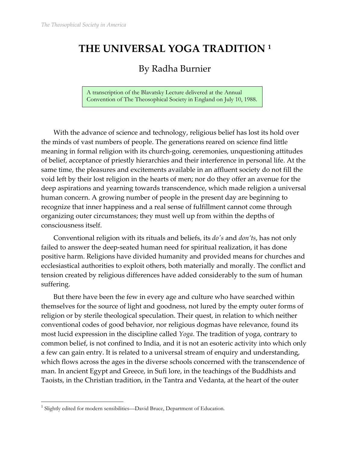# **THE UNIVERSAL YOGA TRADITION 1**

## By Radha Burnier

A transcription of the Blavatsky Lecture delivered at the Annual Convention of The Theosophical Society in England on July 10, 1988.

With the advance of science and technology, religious belief has lost its hold over the minds of vast numbers of people. The generations reared on science find little meaning in formal religion with its church-going, ceremonies, unquestioning attitudes of belief, acceptance of priestly hierarchies and their interference in personal life. At the same time, the pleasures and excitements available in an affluent society do not fill the void left by their lost religion in the hearts of men; nor do they offer an avenue for the deep aspirations and yearning towards transcendence, which made religion a universal human concern. A growing number of people in the present day are beginning to recognize that inner happiness and a real sense of fulfillment cannot come through organizing outer circumstances; they must well up from within the depths of consciousness itself.

Conventional religion with its rituals and beliefs, its *doʹs* and *don'ts*, has not only failed to answer the deep-seated human need for spiritual realization, it has done positive harm. Religions have divided humanity and provided means for churches and ecclesiastical authorities to exploit others, both materially and morally. The conflict and tension created by religious differences have added considerably to the sum of human suffering.

But there have been the few in every age and culture who have searched within themselves for the source of light and goodness, not lured by the empty outer forms of religion or by sterile theological speculation. Their quest, in relation to which neither conventional codes of good behavior, nor religious dogmas have relevance, found its most lucid expression in the discipline called *Yoga*. The tradition of yoga, contrary to common belief, is not confined to India, and it is not an esoteric activity into which only a few can gain entry. It is related to a universal stream of enquiry and understanding, which flows across the ages in the diverse schools concerned with the transcendence of man. In ancient Egypt and Greece, in Sufi lore, in the teachings of the Buddhists and Taoists, in the Christian tradition, in the Tantra and Vedanta, at the heart of the outer

<u>.</u>

<sup>&</sup>lt;sup>1</sup> Slightly edited for modern sensibilities—David Bruce, Department of Education.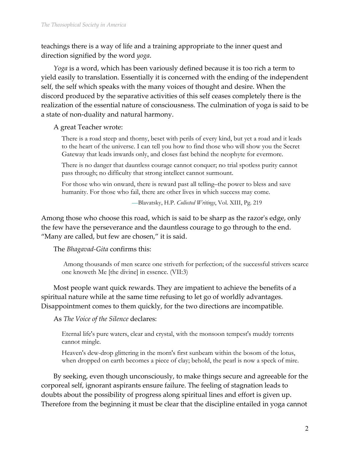teachings there is a way of life and a training appropriate to the inner quest and direction signified by the word *yoga*.

*Yoga* is a word, which has been variously defined because it is too rich a term to yield easily to translation. Essentially it is concerned with the ending of the independent self, the self which speaks with the many voices of thought and desire. When the discord produced by the separative activities of this self ceases completely there is the realization of the essential nature of consciousness. The culmination of yoga is said to be a state of non-duality and natural harmony.

A great Teacher wrote:

There is a road steep and thorny, beset with perils of every kind, but yet a road and it leads to the heart of the universe. I can tell you how to find those who will show you the Secret Gateway that leads inwards only, and closes fast behind the neophyte for evermore.

There is no danger that dauntless courage cannot conquer; no trial spotless purity cannot pass through; no difficulty that strong intellect cannot surmount.

For those who win onward, there is reward past all telling–the power to bless and save humanity. For those who fail, there are other lives in which success may come.

*—*Blavatsky, H.P. *Collected Writings*, Vol. XIII, Pg. 219

Among those who choose this road, which is said to be sharp as the razor's edge, only the few have the perseverance and the dauntless courage to go through to the end. "Many are called, but few are chosen," it is said.

The *Bhagavad-Gita* confirms this:

Among thousands of men scarce one striveth for perfection; of the successful strivers scarce one knoweth Me [the divine] in essence. (VII:3)

Most people want quick rewards. They are impatient to achieve the benefits of a spiritual nature while at the same time refusing to let go of worldly advantages. Disappointment comes to them quickly, for the two directions are incompatible.

As *The Voice of the Silence* declares:

Eternal life's pure waters, clear and crystal, with the monsoon tempest's muddy torrents cannot mingle.

Heaven's dew-drop glittering in the morn's first sunbeam within the bosom of the lotus, when dropped on earth becomes a piece of clay; behold, the pearl is now a speck of mire.

By seeking, even though unconsciously, to make things secure and agreeable for the corporeal self, ignorant aspirants ensure failure. The feeling of stagnation leads to doubts about the possibility of progress along spiritual lines and effort is given up. Therefore from the beginning it must be clear that the discipline entailed in yoga cannot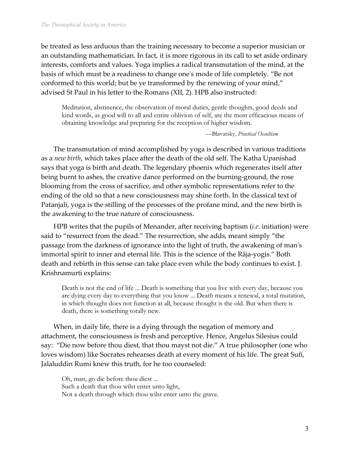be treated as less arduous than the training necessary to become a superior musician or an outstanding mathematician. In fact, it is more rigorous in its call to set aside ordinary interests, comforts and values. Yoga implies a radical transmutation of the mind, at the basis of which must be a readiness to change oneʹs mode of life completely. "Be not conformed to this world; but be ye transformed by the renewing of your mind," advised St Paul in his letter to the Romans (XII, 2). HPB also instructed:

Meditation, abstinence, the observation of moral duties, gentle thoughts, good deeds and kind words, as good will to all and entire oblivion of self, are the most efficacious means of obtaining knowledge and preparing for the reception of higher wisdom.

—Blavatsky, *Practical Occultism*

The transmutation of mind accomplished by yoga is described in various traditions as a *new birth*, which takes place after the death of the old self. The Katha Upanishad says that yoga is birth and death. The legendary phoenix which regenerates itself after being burnt to ashes, the creative dance performed on the burning-ground, the rose blooming from the cross of sacrifice, and other symbolic representations refer to the ending of the old so that a new consciousness may shine forth. In the classical text of Patanjali, yoga is the stilling of the processes of the profane mind, and the new birth is the awakening to the true nature of consciousness.

HPB writes that the pupils of Menander, after receiving baptism (*i.e*. initiation) were said to "resurrect from the dead." The resurrection, she adds, meant simply "the passage from the darkness of ignorance into the light of truth, the awakening of manʹs immortal spirit to inner and eternal life. This is the science of the Râja-yogis." Both death and rebirth in this sense can take place even while the body continues to exist. J. Krishnamurti explains:

Death is not the end of life ... Death is something that you live with every day, because you are dying every day to everything that you know ... Death means a renewal, a total mutation, in which thought does not function at all, because thought is the old. But when there is death, there is something totally new.

When, in daily life, there is a dying through the negation of memory and attachment, the consciousness is fresh and perceptive. Hence, Angelus Silesius could say: "Die now before thou diest, that thou mayst not die." A true philosopher (one who loves wisdom) like Socrates rehearses death at every moment of his life. The great Sufi, Jalaluddin Rumi knew this truth, for he too counseled:

Oh, man, go die before thou diest ... Such a death that thou wilst enter unto light, Not a death through which thou wilst enter unto the grave*.*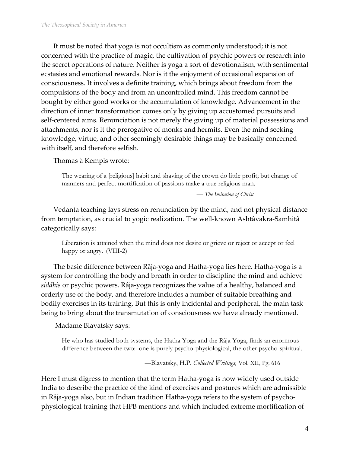It must be noted that yoga is not occultism as commonly understood; it is not concerned with the practice of magic, the cultivation of psychic powers or research into the secret operations of nature. Neither is yoga a sort of devotionalism, with sentimental ecstasies and emotional rewards. Nor is it the enjoyment of occasional expansion of consciousness. It involves a definite training, which brings about freedom from the compulsions of the body and from an uncontrolled mind. This freedom cannot be bought by either good works or the accumulation of knowledge. Advancement in the direction of inner transformation comes only by giving up accustomed pursuits and self-centered aims. Renunciation is not merely the giving up of material possessions and attachments, nor is it the prerogative of monks and hermits. Even the mind seeking knowledge, virtue, and other seemingly desirable things may be basically concerned with itself, and therefore selfish.

Thomas à Kempis wrote:

The wearing of a [religious] habit and shaving of the crown do little profit; but change of manners and perfect mortification of passions make a true religious man.

*— The Imitation of Christ*

Vedanta teaching lays stress on renunciation by the mind, and not physical distance from temptation, as crucial to yogic realization. The well-known Ashtâvakra-Samhitâ categorically says:

Liberation is attained when the mind does not desire or grieve or reject or accept or feel happy or angry. (VIII-2)

The basic difference between Râja-yoga and Hatha-yoga lies here. Hatha-yoga is a system for controlling the body and breath in order to discipline the mind and achieve *siddhis* or psychic powers. Râja-yoga recognizes the value of a healthy, balanced and orderly use of the body, and therefore includes a number of suitable breathing and bodily exercises in its training. But this is only incidental and peripheral, the main task being to bring about the transmutation of consciousness we have already mentioned.

Madame Blavatsky says:

He who has studied both systems, the Hatha Yoga and the Râja Yoga, finds an enormous difference between the two: one is purely psycho-physiological, the other psycho-spiritual.

—Blavatsky, H.P. *Collected Writings,* Vol. XII, Pg. 616

Here I must digress to mention that the term Hatha-yoga is now widely used outside India to describe the practice of the kind of exercises and postures which are admissible in Râja-yoga also, but in Indian tradition Hatha-yoga refers to the system of psychophysiological training that HPB mentions and which included extreme mortification of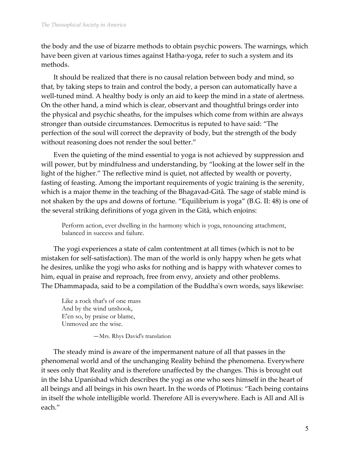the body and the use of bizarre methods to obtain psychic powers. The warnings, which have been given at various times against Hatha-yoga, refer to such a system and its methods.

It should be realized that there is no causal relation between body and mind, so that, by taking steps to train and control the body, a person can automatically have a well-tuned mind. A healthy body is only an aid to keep the mind in a state of alertness. On the other hand, a mind which is clear, observant and thoughtful brings order into the physical and psychic sheaths, for the impulses which come from within are always stronger than outside circumstances. Democritus is reputed to have said: "The perfection of the soul will correct the depravity of body, but the strength of the body without reasoning does not render the soul better."

Even the quieting of the mind essential to yoga is not achieved by suppression and will power, but by mindfulness and understanding, by "looking at the lower self in the light of the higher." The reflective mind is quiet, not affected by wealth or poverty, fasting of feasting. Among the important requirements of yogic training is the serenity, which is a major theme in the teaching of the Bhagavad-Gitâ*.* The sage of stable mind is not shaken by the ups and downs of fortune. "Equilibrium is yoga" (B.G. II: 48) is one of the several striking definitions of yoga given in the Gitâ, which enjoins:

Perform action, ever dwelling in the harmony which is yoga, renouncing attachment, balanced in success and failure.

The yogi experiences a state of calm contentment at all times (which is not to be mistaken for self-satisfaction). The man of the world is only happy when he gets what he desires, unlike the yogi who asks for nothing and is happy with whatever comes to him, equal in praise and reproach, free from envy, anxiety and other problems. The Dhammapada, said to be a compilation of the Buddhaʹs own words, says likewise:

Like a rock that's of one mass And by the wind unshook, E'en so, by praise or blame, Unmoved are the wise.

—Mrs. Rhys David's translation

The steady mind is aware of the impermanent nature of all that passes in the phenomenal world and of the unchanging Reality behind the phenomena. Everywhere it sees only that Reality and is therefore unaffected by the changes. This is brought out in the Isha Upanishad which describes the yogi as one who sees himself in the heart of all beings and all beings in his own heart. In the words of Plotinus: "Each being contains in itself the whole intelligible world. Therefore All is everywhere. Each is All and All is each."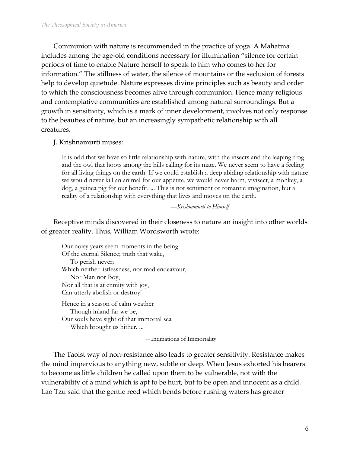Communion with nature is recommended in the practice of yoga. A Mahatma includes among the age-old conditions necessary for illumination "silence for certain periods of time to enable Nature herself to speak to him who comes to her for information." The stillness of water, the silence of mountains or the seclusion of forests help to develop quietude. Nature expresses divine principles such as beauty and order to which the consciousness becomes alive through communion. Hence many religious and contemplative communities are established among natural surroundings. But a growth in sensitivity, which is a mark of inner development, involves not only response to the beauties of nature, but an increasingly sympathetic relationship with all creatures.

#### J. Krishnamurti muses:

It is odd that we have so little relationship with nature, with the insects and the leaping frog and the owl that hoots among the hills calling for its mate. We never seem to have a feeling for all living things on the earth. If we could establish a deep abiding relationship with nature we would never kill an animal for our appetite, we would never harm, vivisect, a monkey, a dog, a guinea pig for our benefit. ... This is not sentiment or romantic imagination, but a reality of a relationship with everything that lives and moves on the earth.

—*Krishnamurti to Himself*

Receptive minds discovered in their closeness to nature an insight into other worlds of greater reality. Thus, William Wordsworth wrote:

Our noisy years seem moments in the being Of the eternal Silence; truth that wake, To perish never; Which neither listlessness, nor mad endeavour, Nor Man nor Boy, Nor all that is at enmity with joy, Can utterly abolish or destroy! Hence in a season of calm weather Though inland far we be, Our souls have sight of that immortal sea

Which brought us hither. ...

—Intimations of Immortality

The Taoist way of non-resistance also leads to greater sensitivity. Resistance makes the mind impervious to anything new, subtle or deep. When Jesus exhorted his hearers to become as little children he called upon them to be vulnerable, not with the vulnerability of a mind which is apt to be hurt, but to be open and innocent as a child. Lao Tzu said that the gentle reed which bends before rushing waters has greater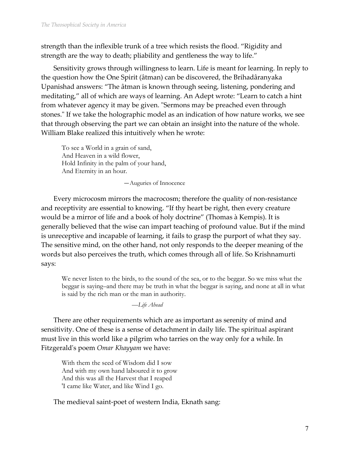strength than the inflexible trunk of a tree which resists the flood. "Rigidity and strength are the way to death; pliability and gentleness the way to life."

Sensitivity grows through willingness to learn. Life is meant for learning. In reply to the question how the One Spirit (âtman) can be discovered, the Brihadâranyaka Upanishad answers: "The âtman is known through seeing, listening, pondering and meditating," all of which are ways of learning. An Adept wrote: "Learn to catch a hint from whatever agency it may be given. "Sermons may be preached even through stones." If we take the holographic model as an indication of how nature works, we see that through observing the part we can obtain an insight into the nature of the whole. William Blake realized this intuitively when he wrote:

To see a World in a grain of sand, And Heaven in a wild flower, Hold Infinity in the palm of your hand, And Eternity in an hour.

—Auguries of Innocence

Every microcosm mirrors the macrocosm; therefore the quality of non-resistance and receptivity are essential to knowing. "If thy heart be right, then every creature would be a mirror of life and a book of holy doctrine" (Thomas à Kempis). It is generally believed that the wise can impart teaching of profound value. But if the mind is unreceptive and incapable of learning, it fails to grasp the purport of what they say. The sensitive mind, on the other hand, not only responds to the deeper meaning of the words but also perceives the truth, which comes through all of life. So Krishnamurti says:

We never listen to the birds, to the sound of the sea, or to the beggar. So we miss what the beggar is saying–and there may be truth in what the beggar is saying, and none at all in what is said by the rich man or the man in authority.

—*Life Ahead*

There are other requirements which are as important as serenity of mind and sensitivity. One of these is a sense of detachment in daily life. The spiritual aspirant must live in this world like a pilgrim who tarries on the way only for a while. In Fitzgeraldʹs poem *Omar Khayyam* we have:

With them the seed of Wisdom did I sow And with my own hand laboured it to grow And this was all the Harvest that I reaped 'I came like Water, and like Wind I go.

The medieval saint-poet of western India, Eknath sang: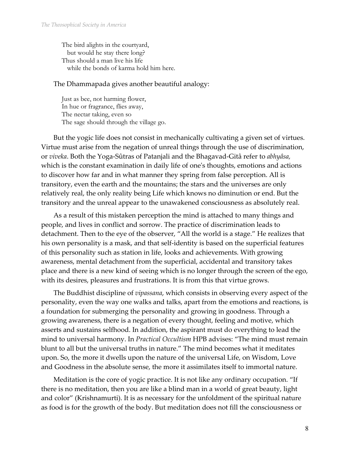The bird alights in the courtyard, but would he stay there long? Thus should a man live his life while the bonds of karma hold him here.

#### The Dhammapada gives another beautiful analogy:

Just as bee, not harming flower, In hue or fragrance, flies away, The nectar taking, even so The sage should through the village go.

But the yogic life does not consist in mechanically cultivating a given set of virtues. Virtue must arise from the negation of unreal things through the use of discrimination, or *viveka*. Both the Yoga-Sûtras of Patanjali and the Bhagavad-Gitâ refer to *abhyâsa,* which is the constant examination in daily life of one's thoughts, emotions and actions to discover how far and in what manner they spring from false perception. All is transitory, even the earth and the mountains; the stars and the universes are only relatively real, the only reality being Life which knows no diminution or end. But the transitory and the unreal appear to the unawakened consciousness as absolutely real.

As a result of this mistaken perception the mind is attached to many things and people, and lives in conflict and sorrow. The practice of discrimination leads to detachment. Then to the eye of the observer, "All the world is a stage." He realizes that his own personality is a mask, and that self-identity is based on the superficial features of this personality such as station in life, looks and achievements. With growing awareness, mental detachment from the superficial, accidental and transitory takes place and there is a new kind of seeing which is no longer through the screen of the ego, with its desires, pleasures and frustrations. It is from this that virtue grows.

The Buddhist discipline of *vipassana*, which consists in observing every aspect of the personality, even the way one walks and talks, apart from the emotions and reactions, is a foundation for submerging the personality and growing in goodness. Through a growing awareness, there is a negation of every thought, feeling and motive, which asserts and sustains selfhood. In addition, the aspirant must do everything to lead the mind to universal harmony. In *Practical Occultism* HPB advises: "The mind must remain blunt to all but the universal truths in nature." The mind becomes what it meditates upon. So, the more it dwells upon the nature of the universal Life, on Wisdom, Love and Goodness in the absolute sense, the more it assimilates itself to immortal nature.

Meditation is the core of yogic practice. It is not like any ordinary occupation. "If there is no meditation, then you are like a blind man in a world of great beauty, light and color" (Krishnamurti). It is as necessary for the unfoldment of the spiritual nature as food is for the growth of the body. But meditation does not fill the consciousness or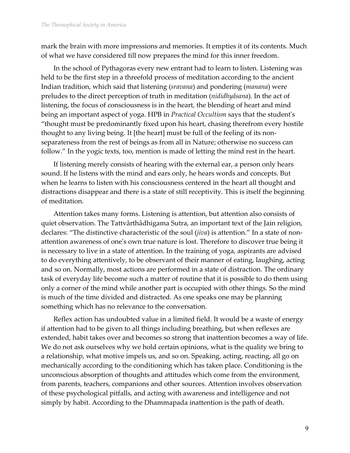mark the brain with more impressions and memories. It empties it of its contents. Much of what we have considered till now prepares the mind for this inner freedom.

In the school of Pythagoras every new entrant had to learn to listen. Listening was held to be the first step in a threefold process of meditation according to the ancient Indian tradition, which said that listening (*sravana*) and pondering (*manana*) were preludes to the direct perception of truth in meditation (*nididhyâsana*). In the act of listening, the focus of consciousness is in the heart, the blending of heart and mind being an important aspect of yoga. HPB in *Practical Occultism* says that the studentʹs "thought must be predominantly fixed upon his heart, chasing therefrom every hostile thought to any living being. It [the heart] must be full of the feeling of its nonseparateness from the rest of beings as from all in Nature; otherwise no success can follow." In the yogic texts, too, mention is made of letting the mind rest in the heart.

If listening merely consists of hearing with the external ear, a person only hears sound. If he listens with the mind and ears only, he hears words and concepts. But when he learns to listen with his consciousness centered in the heart all thought and distractions disappear and there is a state of still receptivity. This is itself the beginning of meditation.

Attention takes many forms. Listening is attention, but attention also consists of quiet observation. The Tattvârthâdhigama Sutra, an important text of the Jain religion, declares: "The distinctive characteristic of the soul (*jiva*) is attention." In a state of nonattention awareness of oneʹs own true nature is lost. Therefore to discover true being it is necessary to live in a state of attention. In the training of yoga, aspirants are advised to do everything attentively, to be observant of their manner of eating, laughing, acting and so on. Normally, most actions are performed in a state of distraction. The ordinary task of everyday life become such a matter of routine that it is possible to do them using only a corner of the mind while another part is occupied with other things. So the mind is much of the time divided and distracted. As one speaks one may be planning something which has no relevance to the conversation.

Reflex action has undoubted value in a limited field. It would be a waste of energy if attention had to be given to all things including breathing, but when reflexes are extended, habit takes over and becomes so strong that inattention becomes a way of life. We do not ask ourselves why we hold certain opinions, what is the quality we bring to a relationship, what motive impels us, and so on. Speaking, acting, reacting, all go on mechanically according to the conditioning which has taken place. Conditioning is the unconscious absorption of thoughts and attitudes which come from the environment, from parents, teachers, companions and other sources. Attention involves observation of these psychological pitfalls, and acting with awareness and intelligence and not simply by habit. According to the Dhammapada inattention is the path of death.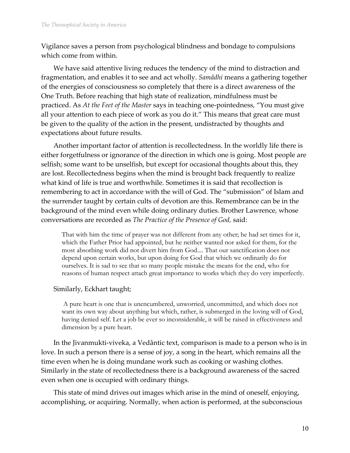Vigilance saves a person from psychological blindness and bondage to compulsions which come from within.

We have said attentive living reduces the tendency of the mind to distraction and fragmentation, and enables it to see and act wholly. *Samâdhi* means a gathering together of the energies of consciousness so completely that there is a direct awareness of the One Truth. Before reaching that high state of realization, mindfulness must be practiced. As *At the Feet of the Master* says in teaching one-pointedness, "You must give all your attention to each piece of work as you do it." This means that great care must be given to the quality of the action in the present, undistracted by thoughts and expectations about future results.

Another important factor of attention is recollectedness. In the worldly life there is either forgetfulness or ignorance of the direction in which one is going. Most people are selfish; some want to be unselfish, but except for occasional thoughts about this, they are lost. Recollectedness begins when the mind is brought back frequently to realize what kind of life is true and worthwhile. Sometimes it is said that recollection is remembering to act in accordance with the will of God. The "submission" of Islam and the surrender taught by certain cults of devotion are this. Remembrance can be in the background of the mind even while doing ordinary duties. Brother Lawrence, whose conversations are recorded as *The Practice of the Presence of God,* said:

That with him the time of prayer was not different from any other; he had set times for it, which the Father Prior had appointed, but he neither wanted nor asked for them, for the most absorbing work did not divert him from God.... That our sanctification does not depend upon certain works, but upon doing for God that which we ordinarily do for ourselves. It is sad to see that so many people mistake the means for the end, who for reasons of human respect attach great importance to works which they do very imperfectly.

### Similarly, Eckhart taught;

A pure heart is one that is unencumbered, unworried, uncommitted, and which does not want its own way about anything but which, rather, is submerged in the loving will of God, having denied self. Let a job be ever so inconsiderable, it will be raised in effectiveness and dimension by a pure heart.

In the Jivanmukti-viveka, a Vedântic text, comparison is made to a person who is in love. In such a person there is a sense of joy, a song in the heart, which remains all the time even when he is doing mundane work such as cooking or washing clothes. Similarly in the state of recollectedness there is a background awareness of the sacred even when one is occupied with ordinary things.

This state of mind drives out images which arise in the mind of oneself, enjoying, accomplishing, or acquiring. Normally, when action is performed, at the subconscious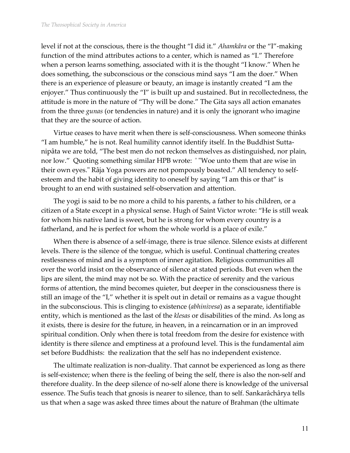level if not at the conscious, there is the thought "I did it." *Ahamkâra* or the "I"-making function of the mind attributes actions to a center, which is named as "I." Therefore when a person learns something, associated with it is the thought "I know." When he does something, the subconscious or the conscious mind says "I am the doer." When there is an experience of pleasure or beauty, an image is instantly created "I am the enjoyer." Thus continuously the "I" is built up and sustained. But in recollectedness, the attitude is more in the nature of "Thy will be done." The Gita says all action emanates from the three *gunas* (or tendencies in nature) and it is only the ignorant who imagine that they are the source of action.

Virtue ceases to have merit when there is self-consciousness. When someone thinks "I am humble," he is not. Real humility cannot identify itself. In the Buddhist Suttanipâta we are told, "The best men do not reckon themselves as distinguished, nor plain, nor low." Quoting something similar HPB wrote: ' "Woe unto them that are wise in their own eyes." Râja Yoga powers are not pompously boasted." All tendency to selfesteem and the habit of giving identity to oneself by saying "I am this or that" is brought to an end with sustained self-observation and attention.

The yogi is said to be no more a child to his parents, a father to his children, or a citizen of a State except in a physical sense. Hugh of Saint Victor wrote: "He is still weak for whom his native land is sweet, but he is strong for whom every country is a fatherland, and he is perfect for whom the whole world is a place of exile."

When there is absence of a self-image, there is true silence. Silence exists at different levels. There is the silence of the tongue, which is useful. Continual chattering creates restlessness of mind and is a symptom of inner agitation. Religious communities all over the world insist on the observance of silence at stated periods. But even when the lips are silent, the mind may not be so. With the practice of serenity and the various forms of attention, the mind becomes quieter, but deeper in the consciousness there is still an image of the "I," whether it is spelt out in detail or remains as a vague thought in the subconscious. This is clinging to existence (*abhinivesa*) as a separate, identifiable entity, which is mentioned as the last of the *klesas* or disabilities of the mind. As long as it exists, there is desire for the future, in heaven, in a reincarnation or in an improved spiritual condition. Only when there is total freedom from the desire for existence with identity is there silence and emptiness at a profound level. This is the fundamental aim set before Buddhists: the realization that the self has no independent existence.

The ultimate realization is non-duality. That cannot be experienced as long as there is self-existence; when there is the feeling of being the self, there is also the non-self and therefore duality. In the deep silence of no-self alone there is knowledge of the universal essence. The Sufis teach that gnosis is nearer to silence, than to self. Sankarâchârya tells us that when a sage was asked three times about the nature of Brahman (the ultimate